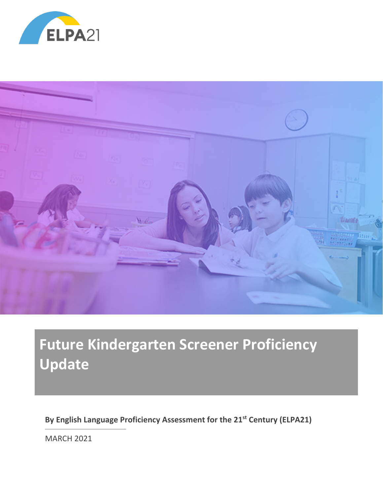



# **Future Kindergarten Screener Proficiency Update**

**By English Language Proficiency Assessment for the 21st Century (ELPA21)**

MARCH 2021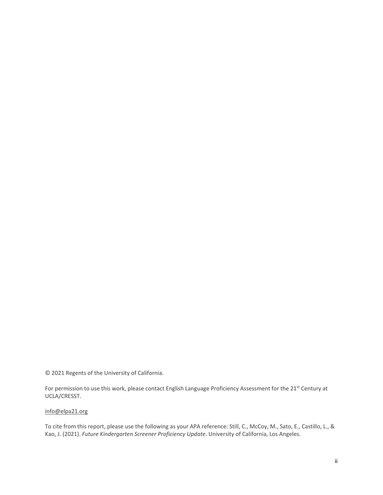© 2021 Regents of the University of California.

For permission to use this work, please contact English Language Proficiency Assessment for the 21<sup>st</sup> Century at UCLA/CRESST.

#### [info@elpa21.org](mailto:info@elpa21.org)

To cite from this report, please use the following as your APA reference: Still, C., McCoy, M., Sato, E., Castillo, L., & Kao, J. (2021). *Future Kindergarten Screener Proficiency Update*. University of California, Los Angeles.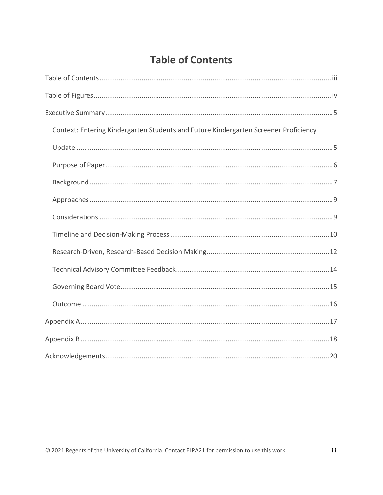# **Table of Contents**

<span id="page-2-0"></span>

| Context: Entering Kindergarten Students and Future Kindergarten Screener Proficiency |
|--------------------------------------------------------------------------------------|
|                                                                                      |
|                                                                                      |
|                                                                                      |
|                                                                                      |
|                                                                                      |
|                                                                                      |
|                                                                                      |
|                                                                                      |
|                                                                                      |
|                                                                                      |
|                                                                                      |
|                                                                                      |
|                                                                                      |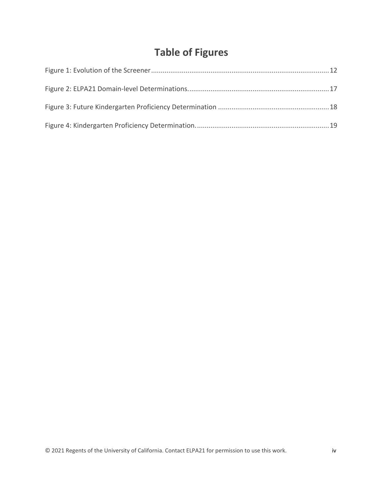# **Table of Figures**

<span id="page-3-0"></span>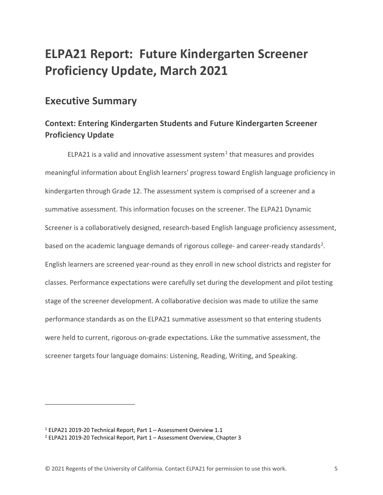# **ELPA21 Report: Future Kindergarten Screener Proficiency Update, March 2021**

## <span id="page-4-0"></span>**Executive Summary**

### <span id="page-4-1"></span>**Context: Entering Kindergarten Students and Future Kindergarten Screener Proficiency Update**

ELPA2[1](#page-4-2) is a valid and innovative assessment system $1$  that measures and provides meaningful information about English learners' progress toward English language proficiency in kindergarten through Grade 12. The assessment system is comprised of a screener and a summative assessment. This information focuses on the screener. The ELPA21 Dynamic Screener is a collaboratively designed, research-based English language proficiency assessment, based on the academic language demands of rigorous college- and career-ready standards<sup>[2](#page-4-3)</sup>. English learners are screened year-round as they enroll in new school districts and register for classes. Performance expectations were carefully set during the development and pilot testing stage of the screener development. A collaborative decision was made to utilize the same performance standards as on the ELPA21 summative assessment so that entering students were held to current, rigorous on-grade expectations. Like the summative assessment, the screener targets four language domains: Listening, Reading, Writing, and Speaking.

<span id="page-4-2"></span><sup>1</sup> ELPA21 2019-20 Technical Report, Part 1 – Assessment Overview 1.1

<span id="page-4-3"></span> $2$  ELPA21 2019-20 Technical Report, Part  $1 -$  Assessment Overview, Chapter 3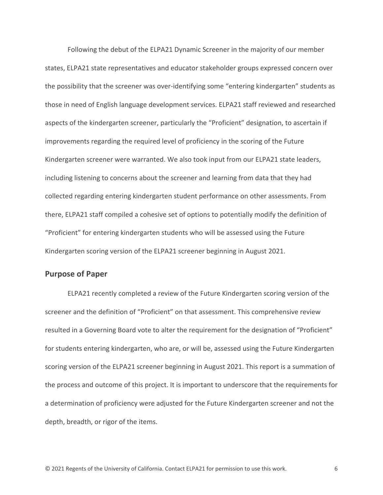Following the debut of the ELPA21 Dynamic Screener in the majority of our member states, ELPA21 state representatives and educator stakeholder groups expressed concern over the possibility that the screener was over-identifying some "entering kindergarten" students as those in need of English language development services. ELPA21 staff reviewed and researched aspects of the kindergarten screener, particularly the "Proficient" designation, to ascertain if improvements regarding the required level of proficiency in the scoring of the Future Kindergarten screener were warranted. We also took input from our ELPA21 state leaders, including listening to concerns about the screener and learning from data that they had collected regarding entering kindergarten student performance on other assessments. From there, ELPA21 staff compiled a cohesive set of options to potentially modify the definition of "Proficient" for entering kindergarten students who will be assessed using the Future Kindergarten scoring version of the ELPA21 screener beginning in August 2021.

#### <span id="page-5-0"></span>**Purpose of Paper**

ELPA21 recently completed a review of the Future Kindergarten scoring version of the screener and the definition of "Proficient" on that assessment. This comprehensive review resulted in a Governing Board vote to alter the requirement for the designation of "Proficient" for students entering kindergarten, who are, or will be, assessed using the Future Kindergarten scoring version of the ELPA21 screener beginning in August 2021. This report is a summation of the process and outcome of this project. It is important to underscore that the requirements for a determination of proficiency were adjusted for the Future Kindergarten screener and not the depth, breadth, or rigor of the items.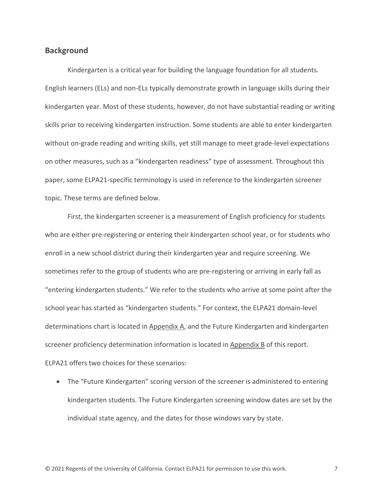#### <span id="page-6-0"></span>**Background**

Kindergarten is a critical year for building the language foundation for all students. English learners (ELs) and non-ELs typically demonstrate growth in language skills during their kindergarten year. Most of these students, however, do not have substantial reading or writing skills prior to receiving kindergarten instruction. Some students are able to enter kindergarten without on-grade reading and writing skills, yet still manage to meet grade-level expectations on other measures, such as a "kindergarten readiness" type of assessment. Throughout this paper, some ELPA21-specific terminology is used in reference to the kindergarten screener topic. These terms are defined below.

First, the kindergarten screener is a measurement of English proficiency for students who are either pre-registering or entering their kindergarten school year, or for students who enroll in a new school district during their kindergarten year and require screening. We sometimes refer to the group of students who are pre-registering or arriving in early fall as "entering kindergarten students." We refer to the students who arrive at some point after the school year has started as "kindergarten students." For context, the ELPA21 domain-level determinations chart is located in [Appendix A,](#page-16-0) and the Future Kindergarten and kindergarten screener proficiency determination information is located in [Appendix B](#page-17-0) of this report. ELPA21 offers two choices for these scenarios:

• The "Future Kindergarten" scoring version of the screener is administered to entering kindergarten students. The Future Kindergarten screening window dates are set by the individual state agency, and the dates for those windows vary by state.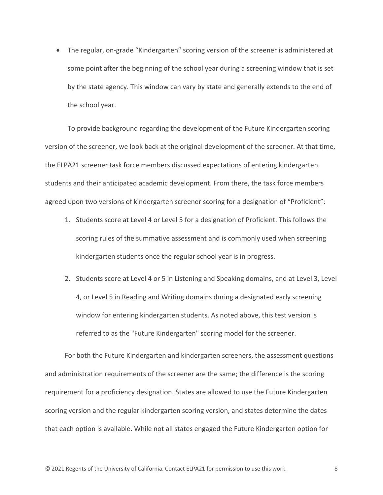• The regular, on-grade "Kindergarten" scoring version of the screener is administered at some point after the beginning of the school year during a screening window that is set by the state agency. This window can vary by state and generally extends to the end of the school year.

To provide background regarding the development of the Future Kindergarten scoring version of the screener, we look back at the original development of the screener. At that time, the ELPA21 screener task force members discussed expectations of entering kindergarten students and their anticipated academic development. From there, the task force members agreed upon two versions of kindergarten screener scoring for a designation of "Proficient":

- 1. Students score at Level 4 or Level 5 for a designation of Proficient. This follows the scoring rules of the summative assessment and is commonly used when screening kindergarten students once the regular school year is in progress.
- 2. Students score at Level 4 or 5 in Listening and Speaking domains, and at Level 3, Level 4, or Level 5 in Reading and Writing domains during a designated early screening window for entering kindergarten students. As noted above, this test version is referred to as the "Future Kindergarten" scoring model for the screener.

For both the Future Kindergarten and kindergarten screeners, the assessment questions and administration requirements of the screener are the same; the difference is the scoring requirement for a proficiency designation. States are allowed to use the Future Kindergarten scoring version and the regular kindergarten scoring version, and states determine the dates that each option is available. While not all states engaged the Future Kindergarten option for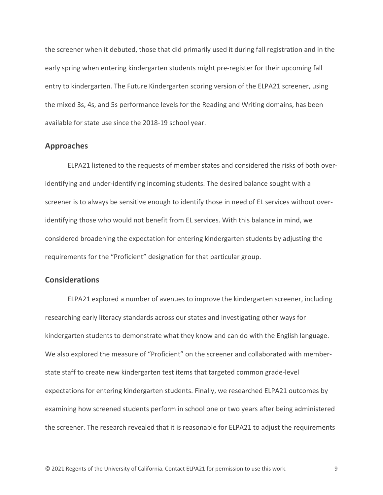the screener when it debuted, those that did primarily used it during fall registration and in the early spring when entering kindergarten students might pre-register for their upcoming fall entry to kindergarten. The Future Kindergarten scoring version of the ELPA21 screener, using the mixed 3s, 4s, and 5s performance levels for the Reading and Writing domains, has been available for state use since the 2018-19 school year.

#### <span id="page-8-0"></span>**Approaches**

ELPA21 listened to the requests of member states and considered the risks of both overidentifying and under-identifying incoming students. The desired balance sought with a screener is to always be sensitive enough to identify those in need of EL services without overidentifying those who would not benefit from EL services. With this balance in mind, we considered broadening the expectation for entering kindergarten students by adjusting the requirements for the "Proficient" designation for that particular group.

#### <span id="page-8-1"></span>**Considerations**

ELPA21 explored a number of avenues to improve the kindergarten screener, including researching early literacy standards across our states and investigating other ways for kindergarten students to demonstrate what they know and can do with the English language. We also explored the measure of "Proficient" on the screener and collaborated with memberstate staff to create new kindergarten test items that targeted common grade-level expectations for entering kindergarten students. Finally, we researched ELPA21 outcomes by examining how screened students perform in school one or two years after being administered the screener. The research revealed that it is reasonable for ELPA21 to adjust the requirements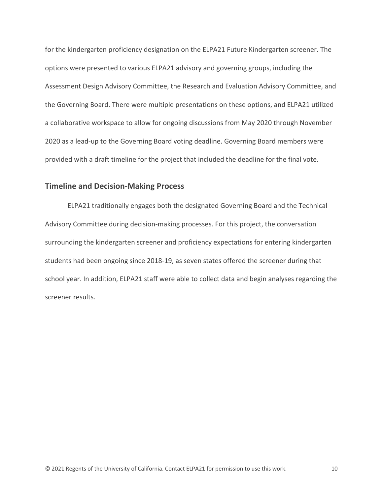for the kindergarten proficiency designation on the ELPA21 Future Kindergarten screener. The options were presented to various ELPA21 advisory and governing groups, including the Assessment Design Advisory Committee, the Research and Evaluation Advisory Committee, and the Governing Board. There were multiple presentations on these options, and ELPA21 utilized a collaborative workspace to allow for ongoing discussions from May 2020 through November 2020 as a lead-up to the Governing Board voting deadline. Governing Board members were provided with a draft timeline for the project that included the deadline for the final vote.

#### <span id="page-9-0"></span>**Timeline and Decision-Making Process**

ELPA21 traditionally engages both the designated Governing Board and the Technical Advisory Committee during decision-making processes. For this project, the conversation surrounding the kindergarten screener and proficiency expectations for entering kindergarten students had been ongoing since 2018-19, as seven states offered the screener during that school year. In addition, ELPA21 staff were able to collect data and begin analyses regarding the screener results.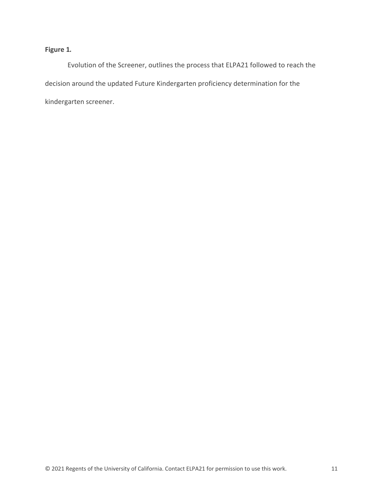#### **[Figure 1](#page-10-0)***.*

<span id="page-10-0"></span>[Evolution of the Screener,](#page-10-0) outlines the process that ELPA21 followed to reach the decision around the updated Future Kindergarten proficiency determination for the kindergarten screener.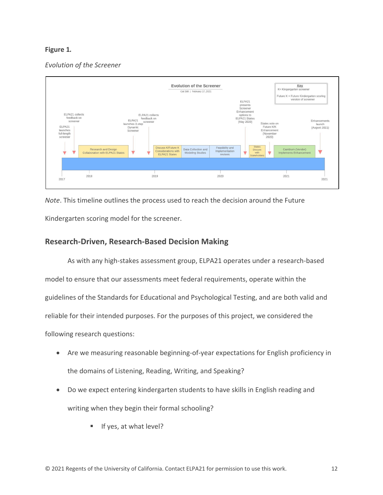#### <span id="page-11-1"></span>**Figure 1***.*





*Note*. This timeline outlines the process used to reach the decision around the Future

Kindergarten scoring model for the screener.

#### <span id="page-11-0"></span>**Research-Driven, Research-Based Decision Making**

As with any high-stakes assessment group, ELPA21 operates under a research-based model to ensure that our assessments meet federal requirements, operate within the guidelines of the Standards for Educational and Psychological Testing, and are both valid and reliable for their intended purposes. For the purposes of this project, we considered the following research questions:

- Are we measuring reasonable beginning-of-year expectations for English proficiency in the domains of Listening, Reading, Writing, and Speaking?
- Do we expect entering kindergarten students to have skills in English reading and writing when they begin their formal schooling?
	- $\blacksquare$  If yes, at what level?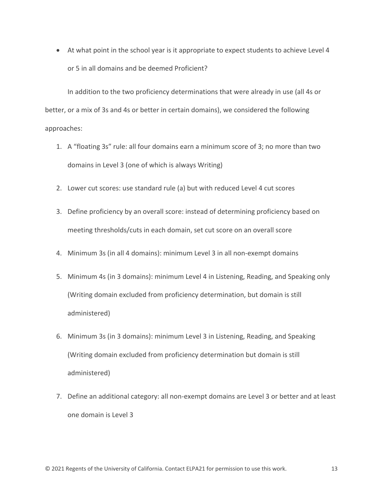• At what point in the school year is it appropriate to expect students to achieve Level 4 or 5 in all domains and be deemed Proficient?

In addition to the two proficiency determinations that were already in use (all 4s or better, or a mix of 3s and 4s or better in certain domains), we considered the following approaches:

- 1. A "floating 3s" rule: all four domains earn a minimum score of 3; no more than two domains in Level 3 (one of which is always Writing)
- 2. Lower cut scores: use standard rule (a) but with reduced Level 4 cut scores
- 3. Define proficiency by an overall score: instead of determining proficiency based on meeting thresholds/cuts in each domain, set cut score on an overall score
- 4. Minimum 3s (in all 4 domains): minimum Level 3 in all non-exempt domains
- 5. Minimum 4s (in 3 domains): minimum Level 4 in Listening, Reading, and Speaking only (Writing domain excluded from proficiency determination, but domain is still administered)
- 6. Minimum 3s (in 3 domains): minimum Level 3 in Listening, Reading, and Speaking (Writing domain excluded from proficiency determination but domain is still administered)
- 7. Define an additional category: all non-exempt domains are Level 3 or better and at least one domain is Level 3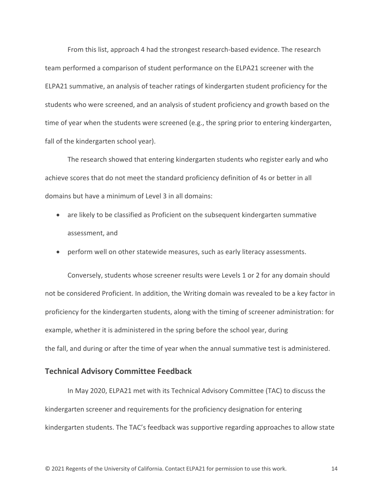From this list, approach 4 had the strongest research-based evidence. The research team performed a comparison of student performance on the ELPA21 screener with the ELPA21 summative, an analysis of teacher ratings of kindergarten student proficiency for the students who were screened, and an analysis of student proficiency and growth based on the time of year when the students were screened (e.g., the spring prior to entering kindergarten, fall of the kindergarten school year).

The research showed that entering kindergarten students who register early and who achieve scores that do not meet the standard proficiency definition of 4s or better in all domains but have a minimum of Level 3 in all domains:

- are likely to be classified as Proficient on the subsequent kindergarten summative assessment, and
- perform well on other statewide measures, such as early literacy assessments.

Conversely, students whose screener results were Levels 1 or 2 for any domain should not be considered Proficient. In addition, the Writing domain was revealed to be a key factor in proficiency for the kindergarten students, along with the timing of screener administration: for example, whether it is administered in the spring before the school year, during the fall, and during or after the time of year when the annual summative test is administered.

#### <span id="page-13-0"></span>**Technical Advisory Committee Feedback**

In May 2020, ELPA21 met with its Technical Advisory Committee (TAC) to discuss the kindergarten screener and requirements for the proficiency designation for entering kindergarten students. The TAC's feedback was supportive regarding approaches to allow state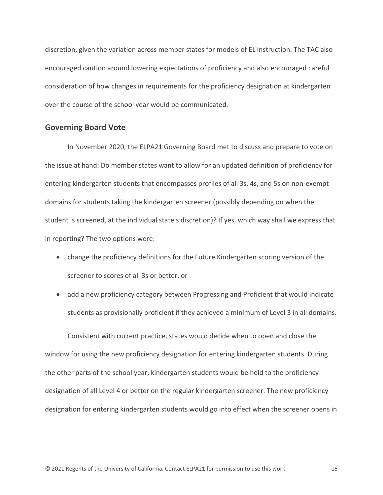discretion, given the variation across member states for models of EL instruction. The TAC also encouraged caution around lowering expectations of proficiency and also encouraged careful consideration of how changes in requirements for the proficiency designation at kindergarten over the course of the school year would be communicated.

#### <span id="page-14-0"></span>**Governing Board Vote**

In November 2020, the ELPA21 Governing Board met to discuss and prepare to vote on the issue at hand: Do member states want to allow for an updated definition of proficiency for entering kindergarten students that encompasses profiles of all 3s, 4s, and 5s on non-exempt domains for students taking the kindergarten screener (possibly depending on when the student is screened, at the individual state's discretion)? If yes, which way shall we express that in reporting? The two options were:

- change the proficiency definitions for the Future Kindergarten scoring version of the screener to scores of all 3s or better, or
- add a new proficiency category between Progressing and Proficient that would indicate students as provisionally proficient if they achieved a minimum of Level 3 in all domains.

Consistent with current practice, states would decide when to open and close the window for using the new proficiency designation for entering kindergarten students. During the other parts of the school year, kindergarten students would be held to the proficiency designation of all Level 4 or better on the regular kindergarten screener. The new proficiency designation for entering kindergarten students would go into effect when the screener opens in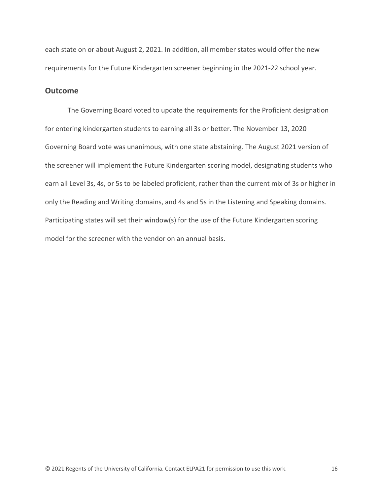each state on or about August 2, 2021. In addition, all member states would offer the new requirements for the Future Kindergarten screener beginning in the 2021-22 school year.

#### <span id="page-15-0"></span>**Outcome**

The Governing Board voted to update the requirements for the Proficient designation for entering kindergarten students to earning all 3s or better. The November 13, 2020 Governing Board vote was unanimous, with one state abstaining. The August 2021 version of the screener will implement the Future Kindergarten scoring model, designating students who earn all Level 3s, 4s, or 5s to be labeled proficient, rather than the current mix of 3s or higher in only the Reading and Writing domains, and 4s and 5s in the Listening and Speaking domains. Participating states will set their window(s) for the use of the Future Kindergarten scoring model for the screener with the vendor on an annual basis.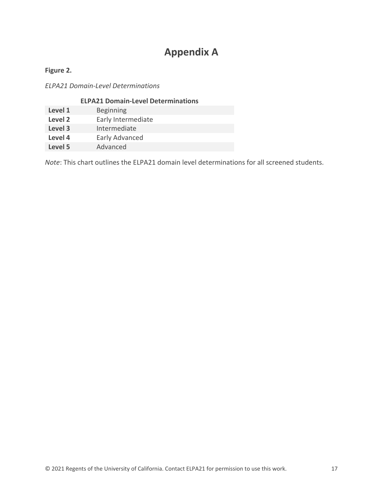# **Appendix A**

#### <span id="page-16-1"></span><span id="page-16-0"></span>**Figure 2.**

*ELPA21 Domain-Level Determinations*

|         | <b>ELPA21 Domain-Level Determinations</b> |
|---------|-------------------------------------------|
| Level 1 | <b>Beginning</b>                          |
| Level 2 | Early Intermediate                        |
| Level 3 | Intermediate                              |
| Level 4 | Early Advanced                            |
| Level 5 | Advanced                                  |

*Note*: This chart outlines the ELPA21 domain level determinations for all screened students.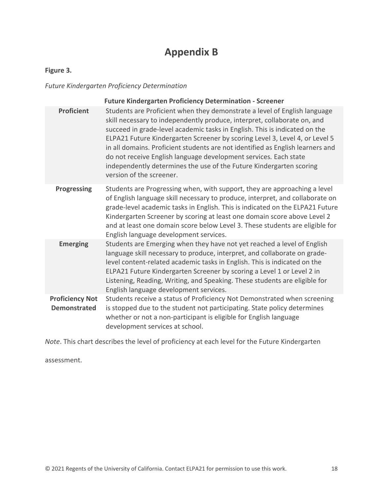# **Appendix B**

#### <span id="page-17-1"></span><span id="page-17-0"></span>**Figure 3.**

*Future Kindergarten Proficiency Determination*

|                                               | <b>Future Kindergarten Proficiency Determination - Screener</b>                                                                                                                                                                                                                                                                                                                                                                                                                                                                                                             |
|-----------------------------------------------|-----------------------------------------------------------------------------------------------------------------------------------------------------------------------------------------------------------------------------------------------------------------------------------------------------------------------------------------------------------------------------------------------------------------------------------------------------------------------------------------------------------------------------------------------------------------------------|
| <b>Proficient</b>                             | Students are Proficient when they demonstrate a level of English language<br>skill necessary to independently produce, interpret, collaborate on, and<br>succeed in grade-level academic tasks in English. This is indicated on the<br>ELPA21 Future Kindergarten Screener by scoring Level 3, Level 4, or Level 5<br>in all domains. Proficient students are not identified as English learners and<br>do not receive English language development services. Each state<br>independently determines the use of the Future Kindergarten scoring<br>version of the screener. |
| <b>Progressing</b>                            | Students are Progressing when, with support, they are approaching a level<br>of English language skill necessary to produce, interpret, and collaborate on<br>grade-level academic tasks in English. This is indicated on the ELPA21 Future<br>Kindergarten Screener by scoring at least one domain score above Level 2<br>and at least one domain score below Level 3. These students are eligible for<br>English language development services.                                                                                                                           |
| <b>Emerging</b>                               | Students are Emerging when they have not yet reached a level of English<br>language skill necessary to produce, interpret, and collaborate on grade-<br>level content-related academic tasks in English. This is indicated on the<br>ELPA21 Future Kindergarten Screener by scoring a Level 1 or Level 2 in<br>Listening, Reading, Writing, and Speaking. These students are eligible for<br>English language development services.                                                                                                                                         |
| <b>Proficiency Not</b><br><b>Demonstrated</b> | Students receive a status of Proficiency Not Demonstrated when screening<br>is stopped due to the student not participating. State policy determines<br>whether or not a non-participant is eligible for English language<br>development services at school.                                                                                                                                                                                                                                                                                                                |

*Note*. This chart describes the level of proficiency at each level for the Future Kindergarten

assessment.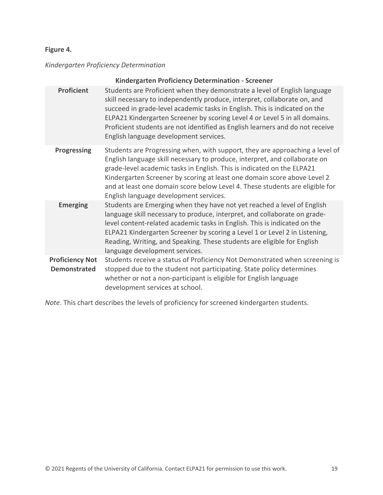#### <span id="page-18-0"></span>**Figure 4.**

#### *Kindergarten Proficiency Determination*

|                                               | Kindergarten Proficiency Determination - Screener                                                                                                                                                                                                                                                                                                                                                                                            |
|-----------------------------------------------|----------------------------------------------------------------------------------------------------------------------------------------------------------------------------------------------------------------------------------------------------------------------------------------------------------------------------------------------------------------------------------------------------------------------------------------------|
| <b>Proficient</b>                             | Students are Proficient when they demonstrate a level of English language<br>skill necessary to independently produce, interpret, collaborate on, and<br>succeed in grade-level academic tasks in English. This is indicated on the<br>ELPA21 Kindergarten Screener by scoring Level 4 or Level 5 in all domains.<br>Proficient students are not identified as English learners and do not receive<br>English language development services. |
| <b>Progressing</b>                            | Students are Progressing when, with support, they are approaching a level of<br>English language skill necessary to produce, interpret, and collaborate on<br>grade-level academic tasks in English. This is indicated on the ELPA21<br>Kindergarten Screener by scoring at least one domain score above Level 2<br>and at least one domain score below Level 4. These students are eligible for<br>English language development services.   |
| <b>Emerging</b>                               | Students are Emerging when they have not yet reached a level of English<br>language skill necessary to produce, interpret, and collaborate on grade-<br>level content-related academic tasks in English. This is indicated on the<br>ELPA21 Kindergarten Screener by scoring a Level 1 or Level 2 in Listening,<br>Reading, Writing, and Speaking. These students are eligible for English<br>language development services.                 |
| <b>Proficiency Not</b><br><b>Demonstrated</b> | Students receive a status of Proficiency Not Demonstrated when screening is<br>stopped due to the student not participating. State policy determines<br>whether or not a non-participant is eligible for English language<br>development services at school.                                                                                                                                                                                 |

*Note*. This chart describes the levels of proficiency for screened kindergarten students.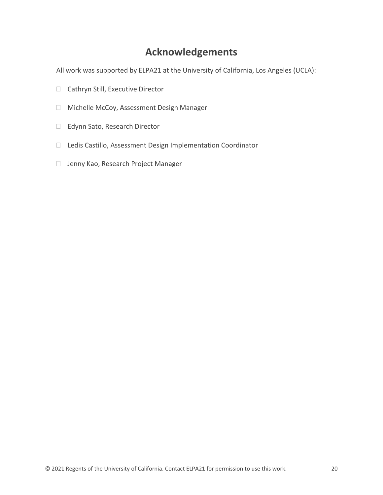# **Acknowledgements**

<span id="page-19-0"></span>All work was supported by ELPA21 at the University of California, Los Angeles (UCLA):

- □ Cathryn Still, Executive Director
- □ Michelle McCoy, Assessment Design Manager
- □ Edynn Sato, Research Director
- □ Ledis Castillo, Assessment Design Implementation Coordinator
- □ Jenny Kao, Research Project Manager